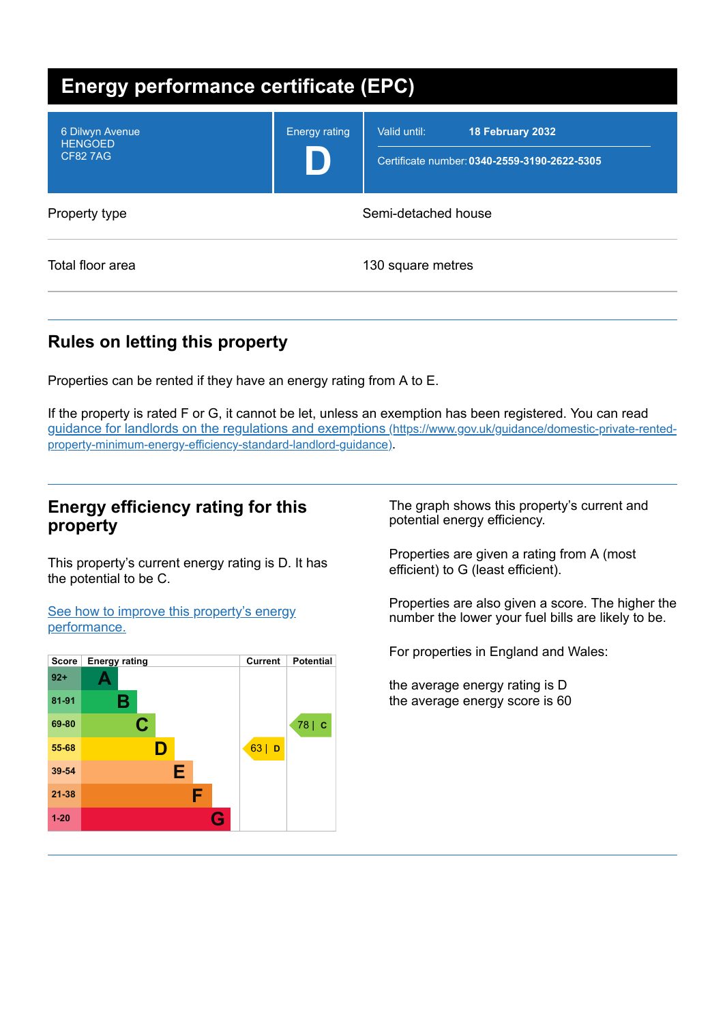| <b>Energy performance certificate (EPC)</b>         |                      |                                                                                  |  |  |
|-----------------------------------------------------|----------------------|----------------------------------------------------------------------------------|--|--|
| 6 Dilwyn Avenue<br><b>HENGOED</b><br><b>CF827AG</b> | <b>Energy rating</b> | Valid until:<br>18 February 2032<br>Certificate number: 0340-2559-3190-2622-5305 |  |  |
| Property type                                       | Semi-detached house  |                                                                                  |  |  |
| Total floor area                                    |                      | 130 square metres                                                                |  |  |

# **Rules on letting this property**

Properties can be rented if they have an energy rating from A to E.

If the property is rated F or G, it cannot be let, unless an exemption has been registered. You can read guidance for landlords on the regulations and exemptions (https://www.gov.uk/guidance/domestic-private-rented[property-minimum-energy-efficiency-standard-landlord-guidance\)](https://www.gov.uk/guidance/domestic-private-rented-property-minimum-energy-efficiency-standard-landlord-guidance).

# **Energy efficiency rating for this property**

This property's current energy rating is D. It has the potential to be C.

See how to improve this property's energy [performance.](#page-2-0)



The graph shows this property's current and potential energy efficiency.

Properties are given a rating from A (most efficient) to G (least efficient).

Properties are also given a score. The higher the number the lower your fuel bills are likely to be.

For properties in England and Wales:

the average energy rating is D the average energy score is 60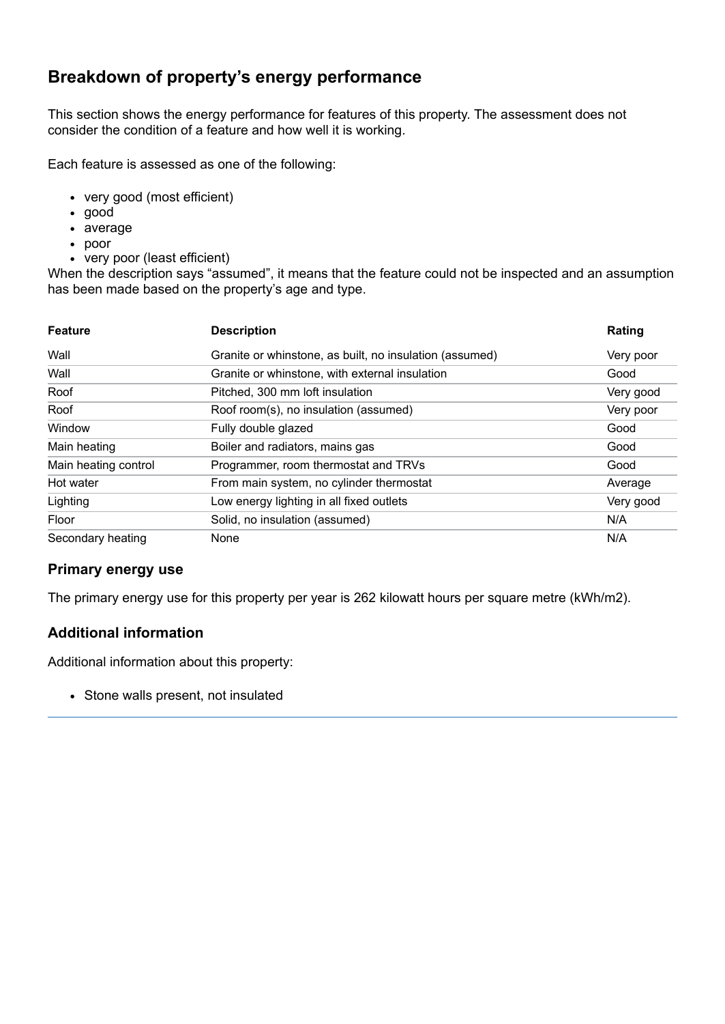# **Breakdown of property's energy performance**

This section shows the energy performance for features of this property. The assessment does not consider the condition of a feature and how well it is working.

Each feature is assessed as one of the following:

- very good (most efficient)
- good
- average
- poor
- very poor (least efficient)

When the description says "assumed", it means that the feature could not be inspected and an assumption has been made based on the property's age and type.

| <b>Feature</b>       | <b>Description</b>                                      | Rating    |
|----------------------|---------------------------------------------------------|-----------|
| Wall                 | Granite or whinstone, as built, no insulation (assumed) | Very poor |
| Wall                 | Granite or whinstone, with external insulation          | Good      |
| Roof                 | Pitched, 300 mm loft insulation                         | Very good |
| Roof                 | Roof room(s), no insulation (assumed)                   | Very poor |
| Window               | Fully double glazed                                     | Good      |
| Main heating         | Boiler and radiators, mains gas                         | Good      |
| Main heating control | Programmer, room thermostat and TRVs                    | Good      |
| Hot water            | From main system, no cylinder thermostat                | Average   |
| Lighting             | Low energy lighting in all fixed outlets                | Very good |
| Floor                | Solid, no insulation (assumed)                          | N/A       |
| Secondary heating    | None                                                    | N/A       |

### **Primary energy use**

The primary energy use for this property per year is 262 kilowatt hours per square metre (kWh/m2).

### **Additional information**

Additional information about this property:

• Stone walls present, not insulated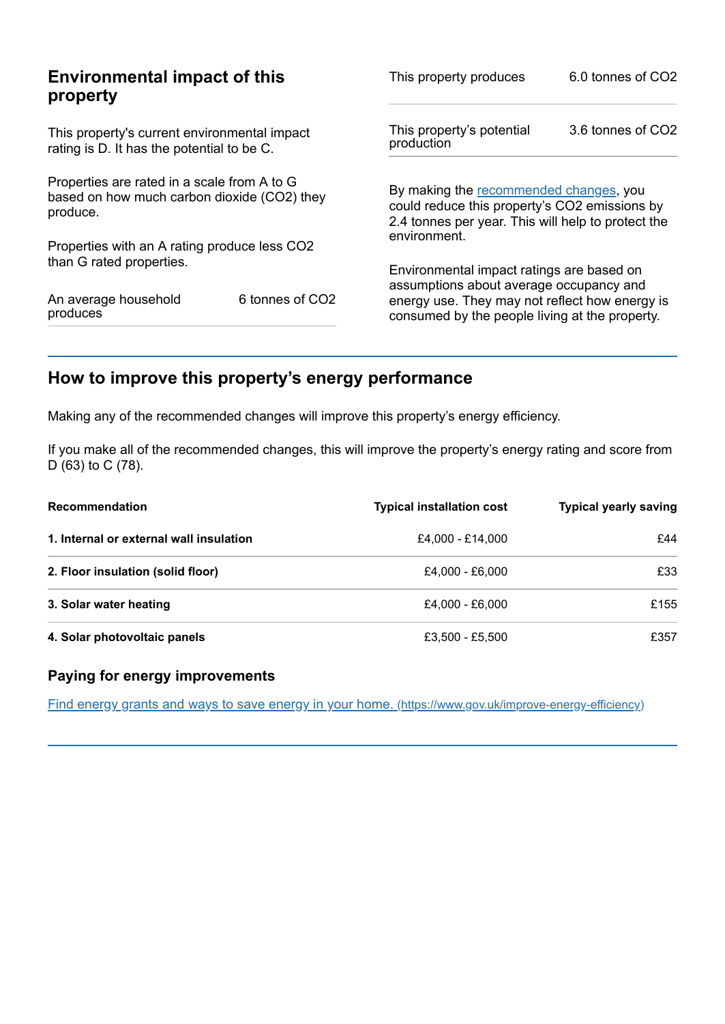| <b>Environmental impact of this</b><br>property                                                        |                 | This property produces                                                                                                                        | 6.0 tonnes of CO2 |
|--------------------------------------------------------------------------------------------------------|-----------------|-----------------------------------------------------------------------------------------------------------------------------------------------|-------------------|
| This property's current environmental impact<br>rating is D. It has the potential to be C.             |                 | This property's potential<br>production                                                                                                       | 3.6 tonnes of CO2 |
| Properties are rated in a scale from A to G<br>based on how much carbon dioxide (CO2) they<br>produce. |                 | By making the recommended changes, you<br>could reduce this property's CO2 emissions by<br>2.4 tonnes per year. This will help to protect the |                   |
| Properties with an A rating produce less CO2                                                           |                 | environment.                                                                                                                                  |                   |
| than G rated properties.                                                                               |                 | Environmental impact ratings are based on<br>assumptions about average occupancy and                                                          |                   |
| An average household<br>produces                                                                       | 6 tonnes of CO2 | energy use. They may not reflect how energy is<br>consumed by the people living at the property.                                              |                   |

# <span id="page-2-0"></span>**How to improve this property's energy performance**

Making any of the recommended changes will improve this property's energy efficiency.

If you make all of the recommended changes, this will improve the property's energy rating and score from D (63) to C (78).

| <b>Recommendation</b>                   | <b>Typical installation cost</b> | <b>Typical yearly saving</b> |
|-----------------------------------------|----------------------------------|------------------------------|
| 1. Internal or external wall insulation | £4.000 - £14.000                 | £44                          |
| 2. Floor insulation (solid floor)       | £4.000 - £6.000                  | £33                          |
| 3. Solar water heating                  | £4.000 - £6.000                  | £155                         |
| 4. Solar photovoltaic panels            | £3,500 - £5,500                  | £357                         |

## **Paying for energy improvements**

Find energy grants and ways to save energy in your home. [\(https://www.gov.uk/improve-energy-efficiency\)](https://www.gov.uk/improve-energy-efficiency)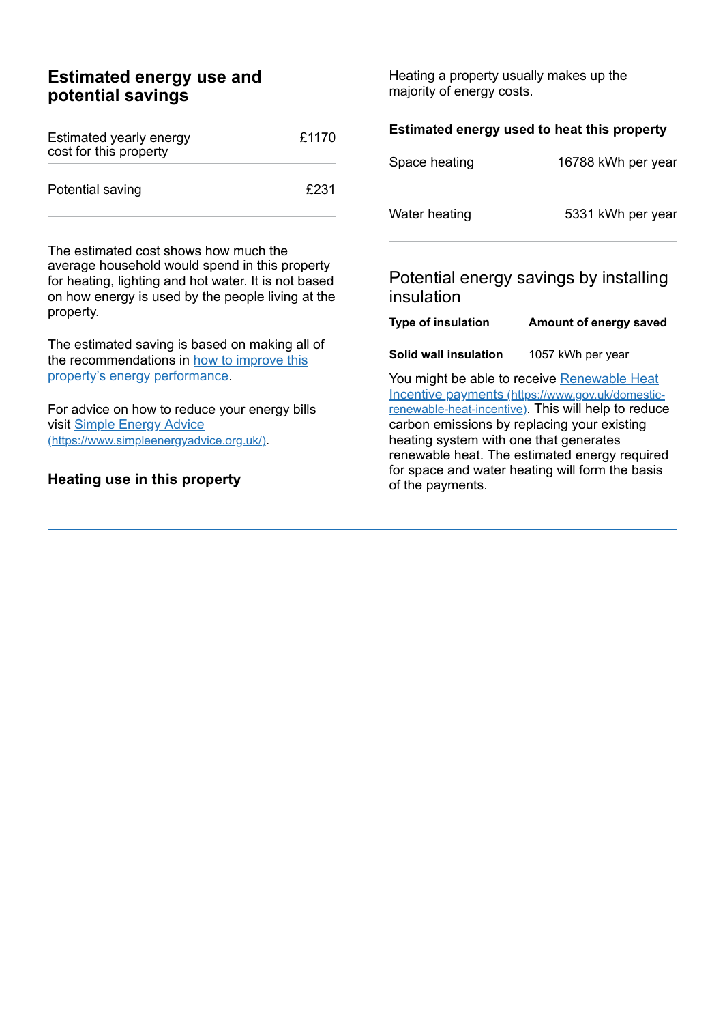# **Estimated energy use and potential savings**

| Estimated yearly energy<br>cost for this property | £1170 |
|---------------------------------------------------|-------|
| Potential saving                                  | £231  |

The estimated cost shows how much the average household would spend in this property for heating, lighting and hot water. It is not based on how energy is used by the people living at the property.

The estimated saving is based on making all of the [recommendations](#page-2-0) in how to improve this property's energy performance.

For advice on how to reduce your energy bills visit Simple Energy Advice [\(https://www.simpleenergyadvice.org.uk/\)](https://www.simpleenergyadvice.org.uk/).

#### **Heating use in this property**

Heating a property usually makes up the majority of energy costs.

| Estimated energy used to heat this property                                                                                                                                                           |
|-------------------------------------------------------------------------------------------------------------------------------------------------------------------------------------------------------|
| 16788 kWh per year                                                                                                                                                                                    |
| 5331 kWh per year                                                                                                                                                                                     |
| Potential energy savings by installing                                                                                                                                                                |
| Amount of energy saved                                                                                                                                                                                |
| 1057 kWh per year                                                                                                                                                                                     |
| You might be able to receive Renewable Heat<br>Incentive payments (https://www.gov.uk/domestic-<br>renewable-heat-incentive). This will help to reduce<br>carbon emissions by replacing your existing |
|                                                                                                                                                                                                       |

renewable heat. The estimated energy required for space and water heating will form the basis of the payments.